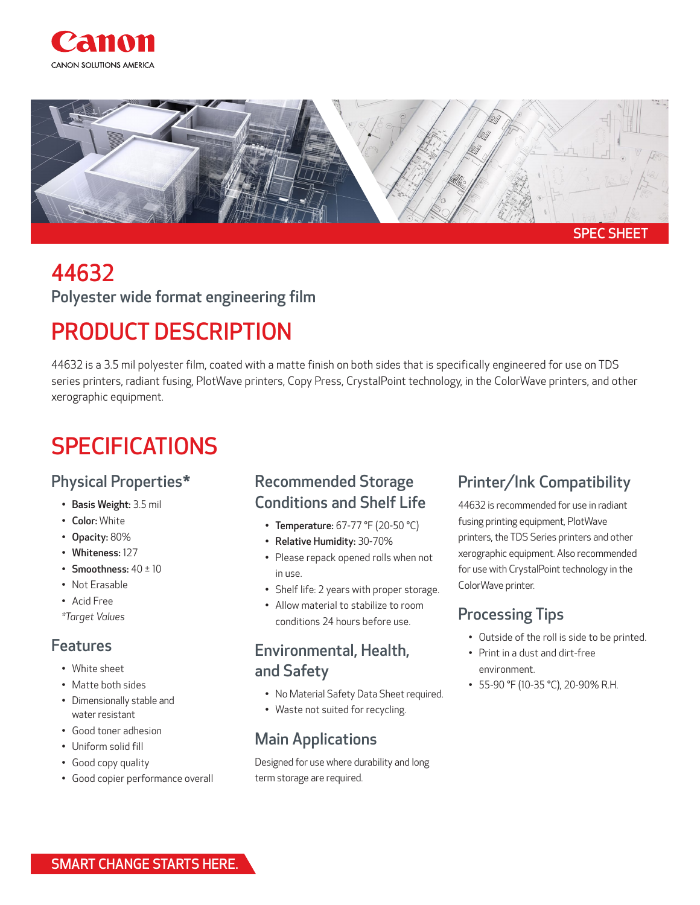



# 44632

Polyester wide format engineering film

## PRODUCT DESCRIPTION

44632 is a 3.5 mil polyester film, coated with a matte finish on both sides that is specifically engineered for use on TDS series printers, radiant fusing, PlotWave printers, Copy Press, CrystalPoint technology, in the ColorWave printers, and other xerographic equipment.

### SPECIFICATIONS

#### Physical Properties\*

- Basis Weight: 3.5 mil
- Color: White
- Opacity: 80%
- Whiteness: 127
- Smoothness:  $40 \pm 10$
- Not Erasable
- Acid Free

*\*Target Values* 

#### Features

- White sheet
- Matte both sides
- Dimensionally stable and water resistant
- Good toner adhesion
- Uniform solid fill
- Good copy quality
- Good copier performance overall

#### Recommended Storage Conditions and Shelf Life

- Temperature: 67-77 °F (20-50 °C)
- Relative Humidity: 30-70%
- Please repack opened rolls when not in use.
- Shelf life: 2 years with proper storage.
- Allow material to stabilize to room conditions 24 hours before use.

#### Environmental, Health, and Safety

- No Material Safety Data Sheet required.
- Waste not suited for recycling.

#### Main Applications

Designed for use where durability and long term storage are required.

#### Printer/Ink Compatibility

44632 is recommended for use in radiant fusing printing equipment, PlotWave printers, the TDS Series printers and other xerographic equipment. Also recommended for use with CrystalPoint technology in the ColorWave printer.

#### Processing Tips

- Outside of the roll is side to be printed.
- Print in a dust and dirt-free environment.
- 55-90 °F (10-35 °C), 20-90% R.H.